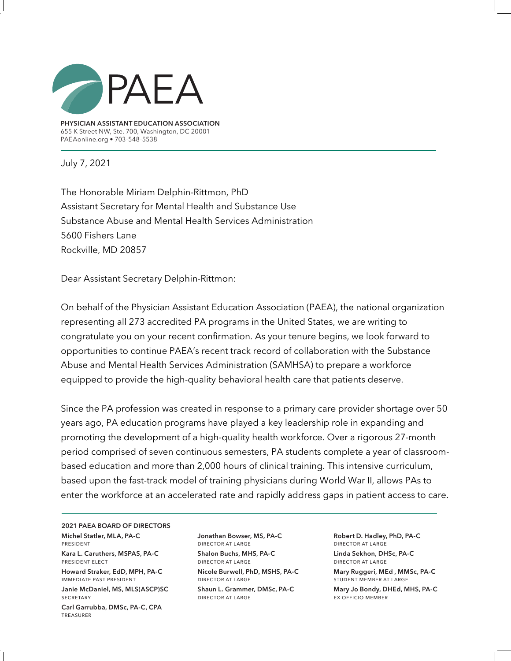

**PHYSICIAN ASSISTANT EDUCATION ASSOCIATION** 655 K Street NW, Ste. 700, Washington, DC 20001 PAEAonline.org • 703-548-5538

July 7, 2021

The Honorable Miriam Delphin-Rittmon, PhD Assistant Secretary for Mental Health and Substance Use Substance Abuse and Mental Health Services Administration 5600 Fishers Lane Rockville, MD 20857

Dear Assistant Secretary Delphin-Rittmon:

On behalf of the Physician Assistant Education Association (PAEA), the national organization representing all 273 accredited PA programs in the United States, we are writing to congratulate you on your recent confirmation. As your tenure begins, we look forward to opportunities to continue PAEA's recent track record of collaboration with the Substance Abuse and Mental Health Services Administration (SAMHSA) to prepare a workforce equipped to provide the high-quality behavioral health care that patients deserve.

Since the PA profession was created in response to a primary care provider shortage over 50 years ago, PA education programs have played a key leadership role in expanding and promoting the development of a high-quality health workforce. Over a rigorous 27-month period comprised of seven continuous semesters, PA students complete a year of classroombased education and more than 2,000 hours of clinical training. This intensive curriculum, based upon the fast-track model of training physicians during World War II, allows PAs to enter the workforce at an accelerated rate and rapidly address gaps in patient access to care.

**2021 PAEA BOARD OF DIRECTORS Michel Statler, MLA, PA-C**  president

**Kara L. Caruthers, MSPAS, PA-C** president elect

**Howard Straker, EdD, MPH, PA-C** immediate past president

**Janie McDaniel, MS, MLS(ASCP)SC SECRETARY** 

**Carl Garrubba, DMSc, PA-C, CPA**  treasurer

**Jonathan Bowser, MS, PA-C** director at large **Shalon Buchs, MHS, PA-C** director at large

**Nicole Burwell, PhD, MSHS, PA-C** director at large **Shaun L. Grammer, DMSc, PA-C** director at large

**Robert D. Hadley, PhD, PA-C** director at large **Linda Sekhon, DHSc, PA-C**  director at large

**Mary Ruggeri, MEd , MMSc, PA-C**  student member at large

**Mary Jo Bondy, DHEd, MHS, PA-C** ex officio member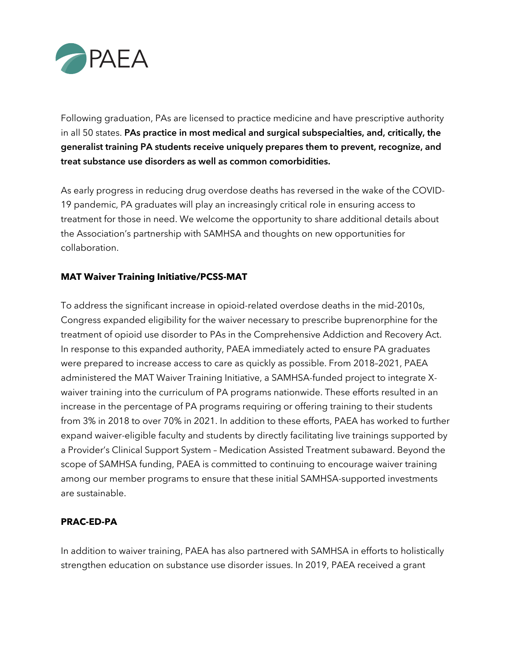

Following graduation, PAs are licensed to practice medicine and have prescriptive authority in all 50 states. **PAs practice in most medical and surgical subspecialties, and, critically, the generalist training PA students receive uniquely prepares them to prevent, recognize, and treat substance use disorders as well as common comorbidities.**

As early progress in reducing drug overdose deaths has reversed in the wake of the COVID-19 pandemic, PA graduates will play an increasingly critical role in ensuring access to treatment for those in need. We welcome the opportunity to share additional details about the Association's partnership with SAMHSA and thoughts on new opportunities for collaboration.

## **MAT Waiver Training Initiative/PCSS-MAT**

To address the significant increase in opioid-related overdose deaths in the mid-2010s, Congress expanded eligibility for the waiver necessary to prescribe buprenorphine for the treatment of opioid use disorder to PAs in the Comprehensive Addiction and Recovery Act. In response to this expanded authority, PAEA immediately acted to ensure PA graduates were prepared to increase access to care as quickly as possible. From 2018–2021, PAEA administered the MAT Waiver Training Initiative, a SAMHSA-funded project to integrate Xwaiver training into the curriculum of PA programs nationwide. These efforts resulted in an increase in the percentage of PA programs requiring or offering training to their students from 3% in 2018 to over 70% in 2021. In addition to these efforts, PAEA has worked to further expand waiver-eligible faculty and students by directly facilitating live trainings supported by a Provider's Clinical Support System – Medication Assisted Treatment subaward. Beyond the scope of SAMHSA funding, PAEA is committed to continuing to encourage waiver training among our member programs to ensure that these initial SAMHSA-supported investments are sustainable.

## **PRAC-ED-PA**

In addition to waiver training, PAEA has also partnered with SAMHSA in efforts to holistically strengthen education on substance use disorder issues. In 2019, PAEA received a grant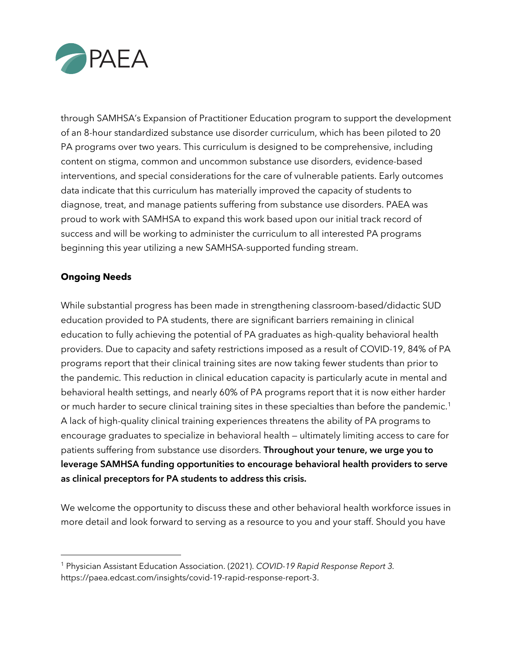

through SAMHSA's Expansion of Practitioner Education program to support the development of an 8-hour standardized substance use disorder curriculum, which has been piloted to 20 PA programs over two years. This curriculum is designed to be comprehensive, including content on stigma, common and uncommon substance use disorders, evidence-based interventions, and special considerations for the care of vulnerable patients. Early outcomes data indicate that this curriculum has materially improved the capacity of students to diagnose, treat, and manage patients suffering from substance use disorders. PAEA was proud to work with SAMHSA to expand this work based upon our initial track record of success and will be working to administer the curriculum to all interested PA programs beginning this year utilizing a new SAMHSA-supported funding stream.

## **Ongoing Needs**

While substantial progress has been made in strengthening classroom-based/didactic SUD education provided to PA students, there are significant barriers remaining in clinical education to fully achieving the potential of PA graduates as high-quality behavioral health providers. Due to capacity and safety restrictions imposed as a result of COVID-19, 84% of PA programs report that their clinical training sites are now taking fewer students than prior to the pandemic. This reduction in clinical education capacity is particularly acute in mental and behavioral health settings, and nearly 60% of PA programs report that it is now either harder or much harder to secure clinical training sites in these specialties than before the pandemic.<sup>1</sup> A lack of high-quality clinical training experiences threatens the ability of PA programs to encourage graduates to specialize in behavioral health — ultimately limiting access to care for patients suffering from substance use disorders. **Throughout your tenure, we urge you to leverage SAMHSA funding opportunities to encourage behavioral health providers to serve as clinical preceptors for PA students to address this crisis.**

We welcome the opportunity to discuss these and other behavioral health workforce issues in more detail and look forward to serving as a resource to you and your staff. Should you have

<sup>1</sup> Physician Assistant Education Association. (2021). *COVID-19 Rapid Response Report 3.*  https://paea.edcast.com/insights/covid-19-rapid-response-report-3.